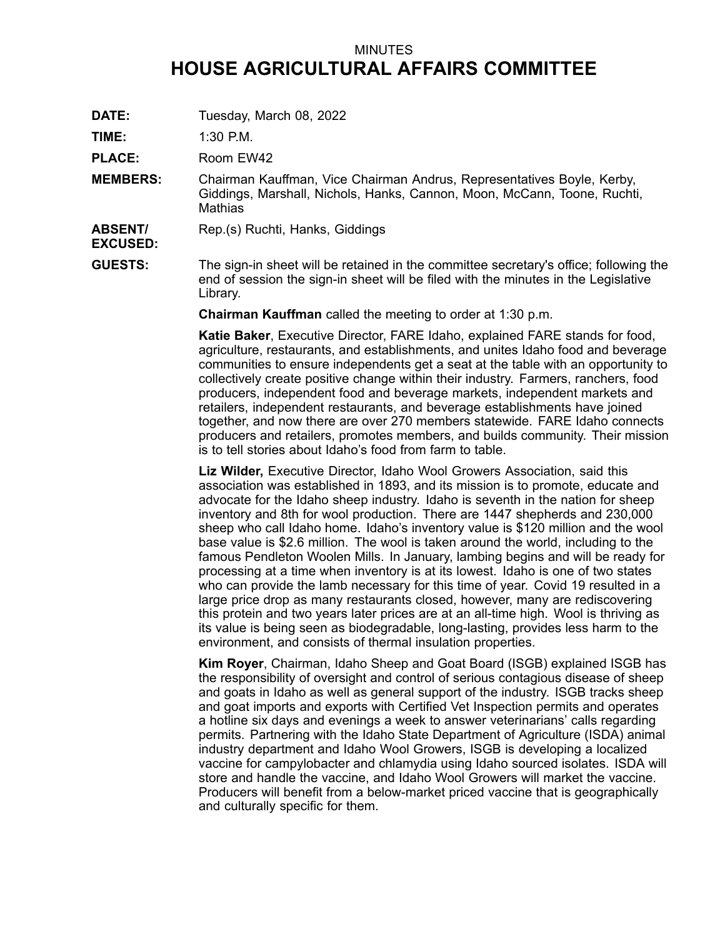## MINUTES **HOUSE AGRICULTURAL AFFAIRS COMMITTEE**

**DATE:** Tuesday, March 08, 2022

**TIME:** 1:30 P.M.

PLACE: Room EW42

**MEMBERS:** Chairman Kauffman, Vice Chairman Andrus, Representatives Boyle, Kerby, Giddings, Marshall, Nichols, Hanks, Cannon, Moon, McCann, Toone, Ruchti, Mathias

**ABSENT/** Rep.(s) Ruchti, Hanks, Giddings

**EXCUSED:**

**GUESTS:** The sign-in sheet will be retained in the committee secretary's office; following the end of session the sign-in sheet will be filed with the minutes in the Legislative Library.

**Chairman Kauffman** called the meeting to order at 1:30 p.m.

**Katie Baker**, Executive Director, FARE Idaho, explained FARE stands for food, agriculture, restaurants, and establishments, and unites Idaho food and beverage communities to ensure independents get <sup>a</sup> seat at the table with an opportunity to collectively create positive change within their industry. Farmers, ranchers, food producers, independent food and beverage markets, independent markets and retailers, independent restaurants, and beverage establishments have joined together, and now there are over 270 members statewide. FARE Idaho connects producers and retailers, promotes members, and builds community. Their mission is to tell stories about Idaho's food from farm to table.

**Liz Wilder,** Executive Director, Idaho Wool Growers Association, said this association was established in 1893, and its mission is to promote, educate and advocate for the Idaho sheep industry. Idaho is seventh in the nation for sheep inventory and 8th for wool production. There are 1447 shepherds and 230,000 sheep who call Idaho home. Idaho's inventory value is \$120 million and the wool base value is \$2.6 million. The wool is taken around the world, including to the famous Pendleton Woolen Mills. In January, lambing begins and will be ready for processing at <sup>a</sup> time when inventory is at its lowest. Idaho is one of two states who can provide the lamb necessary for this time of year. Covid 19 resulted in <sup>a</sup> large price drop as many restaurants closed, however, many are rediscovering this protein and two years later prices are at an all-time high. Wool is thriving as its value is being seen as biodegradable, long-lasting, provides less harm to the environment, and consists of thermal insulation properties.

**Kim Royer**, Chairman, Idaho Sheep and Goat Board (ISGB) explained ISGB has the responsibility of oversight and control of serious contagious disease of sheep and goats in Idaho as well as general support of the industry. ISGB tracks sheep and goat imports and exports with Certified Vet Inspection permits and operates <sup>a</sup> hotline six days and evenings <sup>a</sup> week to answer veterinarians' calls regarding permits. Partnering with the Idaho State Department of Agriculture (ISDA) animal industry department and Idaho Wool Growers, ISGB is developing <sup>a</sup> localized vaccine for campylobacter and chlamydia using Idaho sourced isolates. ISDA will store and handle the vaccine, and Idaho Wool Growers will market the vaccine. Producers will benefit from <sup>a</sup> below-market priced vaccine that is geographically and culturally specific for them.